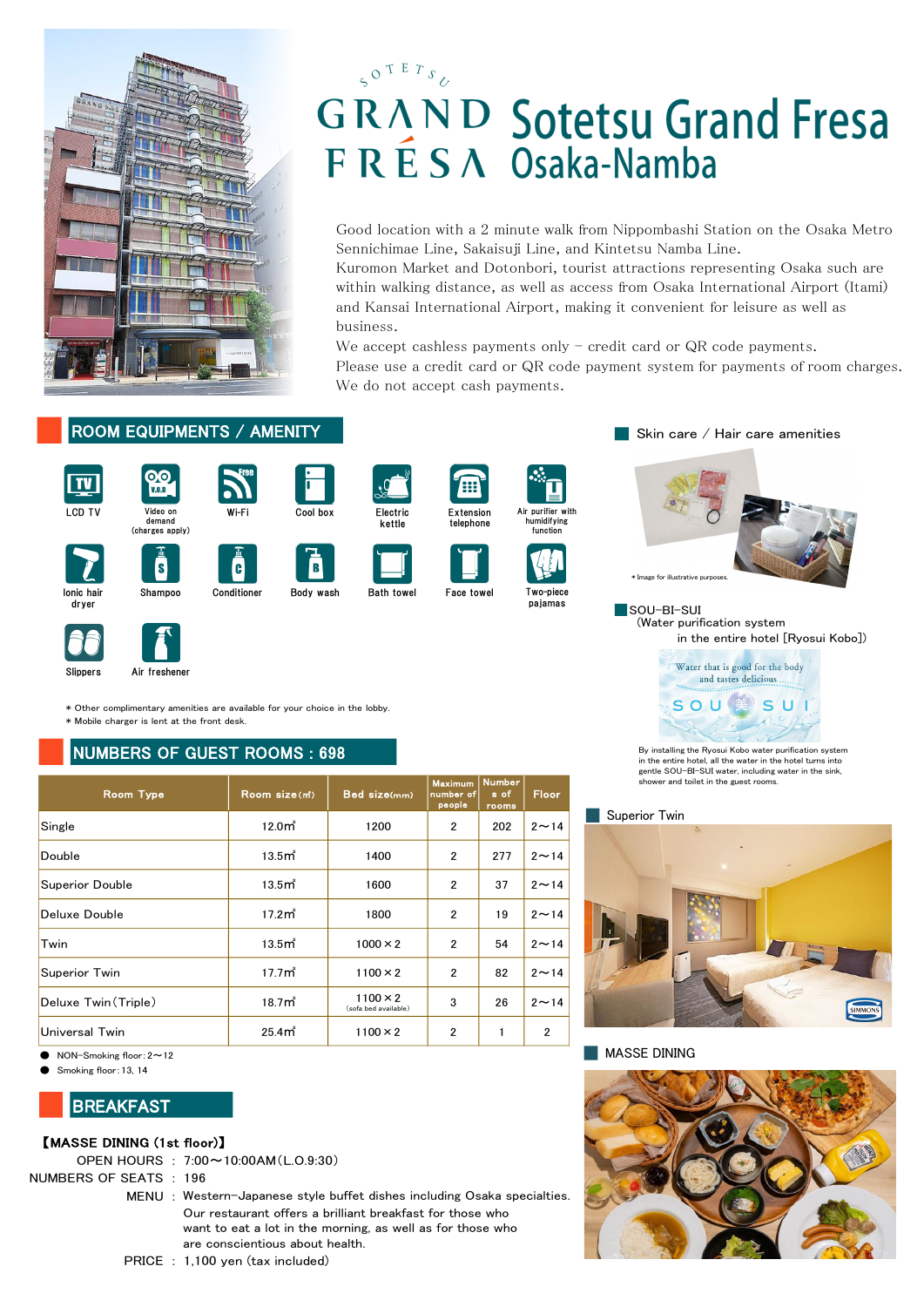

# $5^{O^{\text{T E} T} s}$ **GRAND Sotetsu Grand Fresa** F R É S A Osaka-Namba

### 【MASSE DINING (1st floor)】

### NUMBERS OF SEATS : 196

PRICE : 1,100 yen (tax included)



MENU : Western-Japanese style buffet dishes including Osaka specialties. Our restaurant offers a brilliant breakfast for those who want to eat a lot in the morning, as well as for those who

SOU-BI-SUI (Water purification system in the entire hotel [Ryosui Kobo])





We accept cashless payments only  $-$  credit card or QR code payments. Please use a credit card or QR code payment system for payments of room charges. We do not accept cash payments.

















| ROOM EQUIPMENTS / AMENITY                                                                                                  |                                                                                                                                                            |                                         |                                       |                                |                                              | Skin care / Hair care amenities                                                                                       |
|----------------------------------------------------------------------------------------------------------------------------|------------------------------------------------------------------------------------------------------------------------------------------------------------|-----------------------------------------|---------------------------------------|--------------------------------|----------------------------------------------|-----------------------------------------------------------------------------------------------------------------------|
| 00<br><u>IV</u><br>V.0, D<br>LCD TV<br>Video on<br>demand<br>(charges apply)                                               | Wi-Fi<br>Cool box                                                                                                                                          | Electric<br>kettle                      | (:::)<br>Extension<br>telephone       |                                | Air purifier with<br>humidifying<br>function |                                                                                                                       |
| S<br>lonic hair                                                                                                            | B<br>$\mathbf{G}$<br>Conditioner                                                                                                                           | <b>Bath towel</b>                       | Face towel                            |                                | Two-piece                                    | * Image for illustrative purposes.                                                                                    |
| Shampoo<br>dryer                                                                                                           | Body wash                                                                                                                                                  |                                         |                                       |                                | pajamas                                      | SOU-BI-SUI<br>(Water purification system<br>in the entire hotel [Ryosui Kobo                                          |
| Air freshener<br>Slippers                                                                                                  |                                                                                                                                                            |                                         |                                       |                                |                                              | Water that is good for the body<br>and tastes delicious.                                                              |
| * Other complimentary amenities are available for your choice in the lobby.<br>* Mobile charger is lent at the front desk. |                                                                                                                                                            |                                         |                                       |                                |                                              | S C                                                                                                                   |
| <b>NUMBERS OF GUEST ROOMS: 698</b>                                                                                         |                                                                                                                                                            |                                         |                                       |                                |                                              | By installing the Ryosui Kobo water purification system<br>in the entire hotel, all the water in the hotel turns into |
| <b>Room Type</b>                                                                                                           | Room size(m <sup>*</sup> )                                                                                                                                 | Bed size(mm)                            | <b>Maximum</b><br>number of<br>people | <b>Number</b><br>s of<br>rooms | Floor                                        | gentle SOU-BI-SUI water, including water in the sink,<br>shower and toilet in the guest rooms.                        |
| Single                                                                                                                     | 12.0 <sub>m</sub>                                                                                                                                          | 1200                                    | $\mathbf{2}$                          | 202                            | $2 \sim 14$                                  | Superior Twin                                                                                                         |
| Double                                                                                                                     | 13.5 <sub>m</sub>                                                                                                                                          | 1400                                    | $\overline{\mathbf{c}}$               | 277                            | $2 \sim 14$                                  |                                                                                                                       |
| <b>Superior Double</b>                                                                                                     | 13.5 <sub>m</sub>                                                                                                                                          | 1600                                    | $\mathbf{2}$                          | 37                             | $2 \sim 14$                                  |                                                                                                                       |
| <b>Deluxe Double</b>                                                                                                       | 17.2 <sup> m<sup>2</sup></sup>                                                                                                                             | 1800                                    | $\overline{2}$                        | 19                             | $2 \sim 14$                                  |                                                                                                                       |
| Twin                                                                                                                       | 13.5 <sub>m</sub>                                                                                                                                          | $1000 \times 2$                         | $\mathbf{2}$                          | 54                             | $2 \sim 14$                                  |                                                                                                                       |
| Superior Twin                                                                                                              | 17.7 <sub>m</sub>                                                                                                                                          | $1100 \times 2$                         | $\mathbf{2}$                          | 82                             | $2 \sim 14$                                  |                                                                                                                       |
| Deluxe Twin (Triple)                                                                                                       | 18.7 <sub>m</sub>                                                                                                                                          | $1100 \times 2$<br>(sofa bed available) | 3                                     | 26                             | $2 \sim 14$                                  | S                                                                                                                     |
| <b>Universal Twin</b>                                                                                                      | 25.4 <sub>m</sub>                                                                                                                                          | $1100 \times 2$                         | $\mathbf{2}$                          | $\mathbf{1}$                   | $\overline{2}$                               |                                                                                                                       |
| NON-Smoking floor: $2 \sim 12$<br>Smoking floor: 13, 14                                                                    |                                                                                                                                                            |                                         |                                       |                                |                                              | <b>MASSE DINING</b>                                                                                                   |
| <b>BREAKFAST</b>                                                                                                           |                                                                                                                                                            |                                         |                                       |                                |                                              |                                                                                                                       |
| [MASSE DINING (1st floor)]<br>OPEN HOURS : 7:00~10:00AM (L.O.9:30)<br><b>IUMBERS OF SEATS: 196</b>                         | MENU: Western-Japanese style buffet dishes including Osaka specialties.                                                                                    |                                         |                                       |                                |                                              |                                                                                                                       |
|                                                                                                                            | Our restaurant offers a brilliant breakfast for those who<br>want to eat a lot in the morning, as well as for those who<br>are conscientious about health. |                                         |                                       |                                |                                              |                                                                                                                       |

# **BREAKFAST**























Good location with a 2 minute walk from Nippombashi Station on the Osaka Metro Sennichimae Line, Sakaisuji Line, and Kintetsu Namba Line.

Kuromon Market and Dotonbori, tourist attractions representing Osaka such are within walking distance, as well as access from Osaka International Airport (Itami) and Kansai International Airport, making it convenient for leisure as well as business.